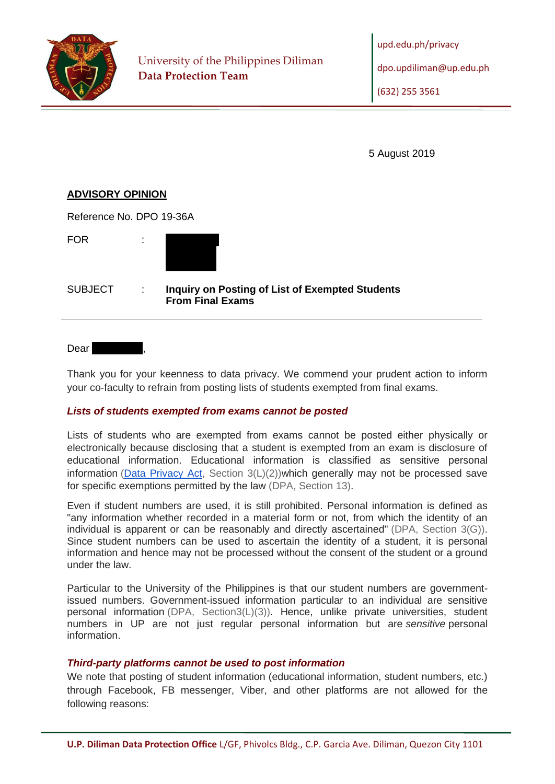

5 August 2019

## **ADVISORY OPINION**

 $R_{R}$ 

| Reference No. DPO 19-36A |   |                                                                                   |
|--------------------------|---|-----------------------------------------------------------------------------------|
| FOR                      |   |                                                                                   |
| SUBJECT                  | ÷ | <b>Inquiry on Posting of List of Exempted Students</b><br><b>From Final Exams</b> |
|                          |   |                                                                                   |

Dear **Redact** 

Thank you for your keenness to data privacy. We commend your prudent action to inform your co-faculty to refrain from posting lists of students exempted from final exams.

## *Lists of students exempted from exams cannot be posted*

Lists of students who are exempted from exams cannot be posted either physically or electronically because disclosing that a student is exempted from an exam is disclosure of educational information. Educational information is classified as sensitive personal information ( $Data$  Privacy Act, Section  $3(L)(2)$ )which generally may not be processed save for specific exemptions permitted by the law (DPA, Section 13).

Even if student numbers are used, it is still prohibited. Personal information is defined as "any information whether recorded in a material form or not, from which the identity of an individual is apparent or can be reasonably and directly ascertained" (DPA, Section 3(G)). Since student numbers can be used to ascertain the identity of a student, it is personal information and hence may not be processed without the consent of the student or a ground under the law.

Particular to the University of the Philippines is that our student numbers are governmentissued numbers. Government-issued information particular to an individual are sensitive personal information (DPA, Section3(L)(3)). Hence, unlike private universities, student numbers in UP are not just regular personal information but are *sensitive* personal information.

## *Third-party platforms cannot be used to post information*

We note that posting of student information (educational information, student numbers, etc.) through Facebook, FB messenger, Viber, and other platforms are not allowed for the following reasons: